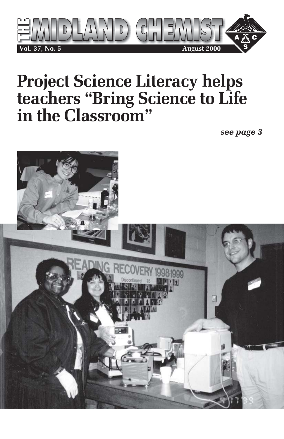

# **Project Science Literacy helps teachers "Bring Science to Life in the Classroom"**

*see page 3*

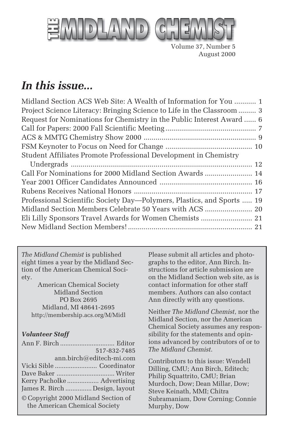

Volume 37, Number 5 August 2000

## *In this issue...*

| Midland Section ACS Web Site: A Wealth of Information for You  1       |  |
|------------------------------------------------------------------------|--|
| Project Science Literacy: Bringing Science to Life in the Classroom  3 |  |
| Request for Nominations for Chemistry in the Public Interest Award  6  |  |
|                                                                        |  |
|                                                                        |  |
|                                                                        |  |
| Student Affiliates Promote Professional Development in Chemistry       |  |
|                                                                        |  |
| Call For Nominations for 2000 Midland Section Awards  14               |  |
|                                                                        |  |
|                                                                        |  |
| Professional Scientific Society Day-Polymers, Plastics, and Sports  19 |  |
|                                                                        |  |
| Eli Lilly Sponsors Travel Awards for Women Chemists  21                |  |
|                                                                        |  |
|                                                                        |  |

*The Midland Chemist* is published eight times a year by the Midland Section of the American Chemical Society.

American Chemical Society Midland Section PO Box 2695 Midland, MI 48641-2695 http://membership.acs.org/M/Midl

#### *Volunteer Staff*

|                                                                      | 517-832-7485 |
|----------------------------------------------------------------------|--------------|
| ann.birch@editech-mi.com                                             |              |
|                                                                      |              |
|                                                                      |              |
| Kerry Pacholke  Advertising                                          |              |
| James R. Birch  Design, layout                                       |              |
| © Copyright 2000 Midland Section of<br>the American Chemical Society |              |

Please submit all articles and photographs to the editor, Ann Birch. Instructions for article submission are on the Midland Section web site, as is contact information for other staff members. Authors can also contact Ann directly with any questions.

Neither *The Midland Chemist*, nor the Midland Section, nor the American Chemical Society assumes any responsibility for the statements and opinions advanced by contributors of or to *The Midland Chemist*.

Contributors to this issue: Wendell Dilling, CMU; Ann Birch, Editech; Philip Squattrito, CMU; Brian Murdoch, Dow; Dean Millar, Dow; Steve Keinath, MMI; Chitra Subramaniam, Dow Corning; Connie Murphy, Dow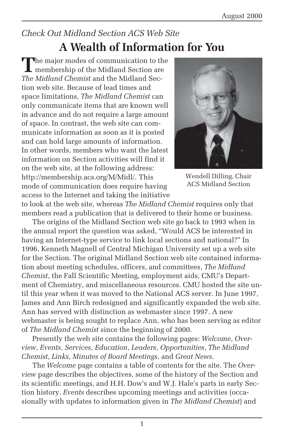## *Check Out Midland Section ACS Web Site* **A Wealth of Information for You**

**T**he major modes of communication to the membership of the Midland Section are *The Midland Chemist* and the Midland Section web site. Because of lead times and space limitations, *The Midland Chemist* can only communicate items that are known well in advance and do not require a large amount of space. In contrast, the web site can communicate information as soon as it is posted and can hold large amounts of information. In other words, members who want the latest information on Section activities will find it on the web site, at the following address: http://membership.acs.org/M/Midl/. This mode of communication does require having access to the Internet and taking the initiative



Wendell Dilling, Chair ACS Midland Section

to look at the web site, whereas *The Midland Chemist* requires only that members read a publication that is delivered to their home or business.

The origins of the Midland Section web site go back to 1993 when in the annual report the question was asked, "Would ACS be interested in having an Internet-type service to link local sections and national?" In 1996, Kenneth Magnell of Central Michigan University set up a web site for the Section. The original Midland Section web site contained information about meeting schedules, officers, and committees, *The Midland Chemist*, the Fall Scientific Meeting, employment aids, CMU's Department of Chemistry, and miscellaneous resources. CMU hosted the site until this year when it was moved to the National ACS server. In June 1997, James and Ann Birch redesigned and significantly expanded the web site. Ann has served with distinction as webmaster since 1997. A new webmaster is being sought to replace Ann, who has been serving as editor of *The Midland Chemist* since the beginning of 2000.

Presently the web site contains the following pages: *Welcome*, *Overview*, *Events*, *Services*, *Education*, *Leaders*, *Opportunities*, *The Midland Chemist*, *Links*, *Minutes of Board Meetings*, and *Great News*.

The *Welcome* page contains a table of contents for the site. The *Overview* page describes the objectives, some of the history of the Section and its scientific meetings, and H.H. Dow's and W.J. Hale's parts in early Section history. *Events* describes upcoming meetings and activities (occasionally with updates to information given in *The Midland Chemist*) and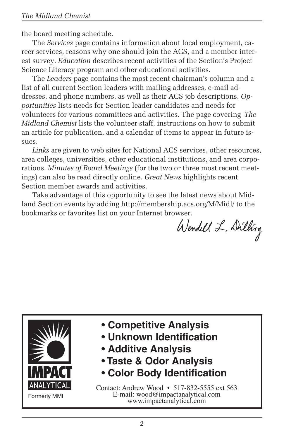the board meeting schedule.

The *Services* page contains information about local employment, career services, reasons why one should join the ACS, and a member interest survey. *Education* describes recent activities of the Section's Project Science Literacy program and other educational activities.

The *Leaders* page contains the most recent chairman's column and a list of all current Section leaders with mailing addresses, e-mail addresses, and phone numbers, as well as their ACS job descriptions. *Opportunities* lists needs for Section leader candidates and needs for volunteers for various committees and activities. The page covering *The Midland Chemist* lists the volunteer staff, instructions on how to submit an article for publication, and a calendar of items to appear in future issues.

*Links* are given to web sites for National ACS services, other resources, area colleges, universities, other educational institutions, and area corporations. *Minutes of Board Meetings* (for the two or three most recent meetings) can also be read directly online. *Great News* highlights recent Section member awards and activities.

Take advantage of this opportunity to see the latest news about Midland Section events by adding http://membership.acs.org/M/Midl/ to the bookmarks or favorites list on your Internet browser.

Wendell L. Dilling



- **Competitive Analysis**
- **Unknown Identification**
- **Additive Analysis**
- **Taste & Odor Analysis**
- **Color Body Identification**

Contact: Andrew Wood • 517-832-5555 ext 563 E-mail: wood@impactanalytical.com www.impactanalytical.com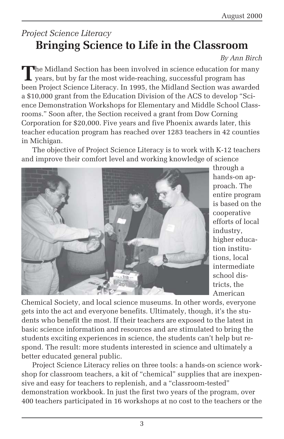### *Project Science Literacy* **Bringing Science to Life in the Classroom**

#### *By Ann Birch*

**T**he Midland Section has been involved in science education for many **L** years, but by far the most wide-reaching, successful program has been Project Science Literacy. In 1995, the Midland Section was awarded a \$10,000 grant from the Education Division of the ACS to develop "Science Demonstration Workshops for Elementary and Middle School Classrooms." Soon after, the Section received a grant from Dow Corning Corporation for \$20,000. Five years and five Phoenix awards later, this teacher education program has reached over 1283 teachers in 42 counties in Michigan.

The objective of Project Science Literacy is to work with K-12 teachers and improve their comfort level and working knowledge of science



through a hands-on approach. The entire program is based on the cooperative efforts of local industry, higher education institutions, local intermediate school districts, the American

Chemical Society, and local science museums. In other words, everyone gets into the act and everyone benefits. Ultimately, though, it's the students who benefit the most. If their teachers are exposed to the latest in basic science information and resources and are stimulated to bring the students exciting experiences in science, the students can't help but respond. The result: more students interested in science and ultimately a better educated general public.

Project Science Literacy relies on three tools: a hands-on science workshop for classroom teachers, a kit of "chemical" supplies that are inexpensive and easy for teachers to replenish, and a "classroom-tested" demonstration workbook. In just the first two years of the program, over 400 teachers participated in 16 workshops at no cost to the teachers or the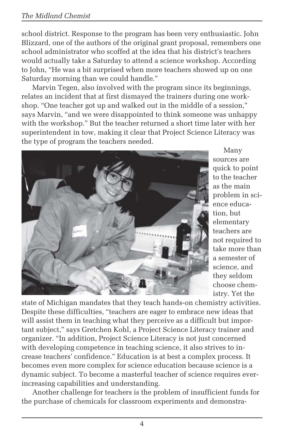#### *The Midland Chemist*

school district. Response to the program has been very enthusiastic. John Blizzard, one of the authors of the original grant proposal, remembers one school administrator who scoffed at the idea that his district's teachers would actually take a Saturday to attend a science workshop. According to John, "He was a bit surprised when more teachers showed up on one Saturday morning than we could handle."

Marvin Tegen, also involved with the program since its beginnings, relates an incident that at first dismayed the trainers during one workshop. "One teacher got up and walked out in the middle of a session," says Marvin, "and we were disappointed to think someone was unhappy with the workshop." But the teacher returned a short time later with her superintendent in tow, making it clear that Project Science Literacy was the type of program the teachers needed.



Many sources are quick to point to the teacher as the main problem in science education, but elementary teachers are not required to take more than a semester of science, and they seldom choose chemistry. Yet the

state of Michigan mandates that they teach hands-on chemistry activities. Despite these difficulties, "teachers are eager to embrace new ideas that will assist them in teaching what they perceive as a difficult but important subject," says Gretchen Kohl, a Project Science Literacy trainer and organizer. "In addition, Project Science Literacy is not just concerned with developing competence in teaching science, it also strives to increase teachers' confidence." Education is at best a complex process. It becomes even more complex for science education because science is a dynamic subject. To become a masterful teacher of science requires everincreasing capabilities and understanding.

Another challenge for teachers is the problem of insufficient funds for the purchase of chemicals for classroom experiments and demonstra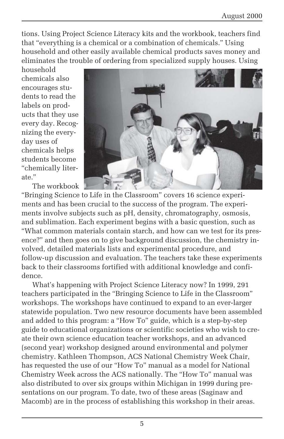tions. Using Project Science Literacy kits and the workbook, teachers find that "everything is a chemical or a combination of chemicals." Using household and other easily available chemical products saves money and eliminates the trouble of ordering from specialized supply houses. Using

household chemicals also encourages students to read the labels on products that they use every day. Recognizing the everyday uses of chemicals helps students become "chemically literate."

The workbook



"Bringing Science to Life in the Classroom" covers 16 science experiments and has been crucial to the success of the program. The experiments involve subjects such as pH, density, chromatography, osmosis, and sublimation. Each experiment begins with a basic question, such as "What common materials contain starch, and how can we test for its presence?" and then goes on to give background discussion, the chemistry involved, detailed materials lists and experimental procedure, and follow-up discussion and evaluation. The teachers take these experiments back to their classrooms fortified with additional knowledge and confidence.

What's happening with Project Science Literacy now? In 1999, 291 teachers participated in the "Bringing Science to Life in the Classroom" workshops. The workshops have continued to expand to an ever-larger statewide population. Two new resource documents have been assembled and added to this program: a "How To" guide, which is a step-by-step guide to educational organizations or scientific societies who wish to create their own science education teacher workshops, and an advanced (second year) workshop designed around environmental and polymer chemistry. Kathleen Thompson, ACS National Chemistry Week Chair, has requested the use of our "How To" manual as a model for National Chemistry Week across the ACS nationally. The "How To" manual was also distributed to over six groups within Michigan in 1999 during presentations on our program. To date, two of these areas (Saginaw and Macomb) are in the process of establishing this workshop in their areas.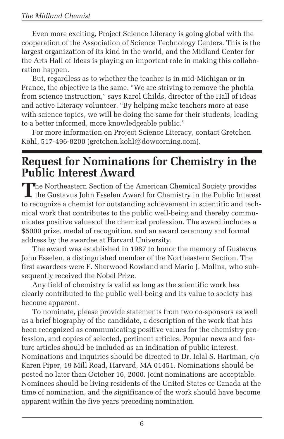Even more exciting, Project Science Literacy is going global with the cooperation of the Association of Science Technology Centers. This is the largest organization of its kind in the world, and the Midland Center for the Arts Hall of Ideas is playing an important role in making this collaboration happen.

But, regardless as to whether the teacher is in mid-Michigan or in France, the objective is the same. "We are striving to remove the phobia from science instruction," says Karol Childs, director of the Hall of Ideas and active Literacy volunteer. "By helping make teachers more at ease with science topics, we will be doing the same for their students, leading to a better informed, more knowledgeable public."

For more information on Project Science Literacy, contact Gretchen Kohl, 517-496-8200 (gretchen.kohl@dowcorning.com).

### **Request for Nominations for Chemistry in the Public Interest Award**

**T**he Northeastern Section of the American Chemical Society provides the Gustavus John Esselen Award for Chemistry in the Public Interest to recognize a chemist for outstanding achievement in scientific and technical work that contributes to the public well-being and thereby communicates positive values of the chemical profession. The award includes a \$5000 prize, medal of recognition, and an award ceremony and formal address by the awardee at Harvard University.

The award was established in 1987 to honor the memory of Gustavus John Esselen, a distinguished member of the Northeastern Section. The first awardees were F. Sherwood Rowland and Mario J. Molina, who subsequently received the Nobel Prize.

Any field of chemistry is valid as long as the scientific work has clearly contributed to the public well-being and its value to society has become apparent.

To nominate, please provide statements from two co-sponsors as well as a brief biography of the candidate, a description of the work that has been recognized as communicating positive values for the chemistry profession, and copies of selected, pertinent articles. Popular news and feature articles should be included as an indication of public interest. Nominations and inquiries should be directed to Dr. Iclal S. Hartman, c/o Karen Piper, 19 Mill Road, Harvard, MA 01451. Nominations should be posted no later than October 16, 2000. Joint nominations are acceptable. Nominees should be living residents of the United States or Canada at the time of nomination, and the significance of the work should have become apparent within the five years preceding nomination.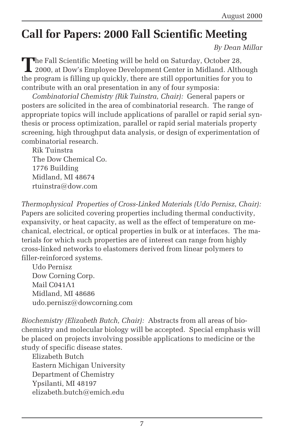## **Call for Papers: 2000 Fall Scientific Meeting**

*By Dean Millar*

The Fall Scientific Meeting will be held on Saturday, October 28, 2000, at Dow's Employee Development Center in Midland. Although the program is filling up quickly, there are still opportunities for you to contribute with an oral presentation in any of four symposia:

*Combinatorial Chemistry (Rik Tuinstra, Chair):* General papers or posters are solicited in the area of combinatorial research. The range of appropriate topics will include applications of parallel or rapid serial synthesis or process optimization, parallel or rapid serial materials property screening, high throughput data analysis, or design of experimentation of combinatorial research.

Rik Tuinstra The Dow Chemical Co. 1776 Building Midland, MI 48674 rtuinstra@dow.com

*Thermophysical Properties of Cross-Linked Materials (Udo Pernisz, Chair):* Papers are solicited covering properties including thermal conductivity, expansivity, or heat capacity, as well as the effect of temperature on mechanical, electrical, or optical properties in bulk or at interfaces. The materials for which such properties are of interest can range from highly cross-linked networks to elastomers derived from linear polymers to filler-reinforced systems.

Udo Pernisz Dow Corning Corp. Mail C041A1 Midland, MI 48686 udo.pernisz@dowcorning.com

*Biochemistry (Elizabeth Butch, Chair):* Abstracts from all areas of biochemistry and molecular biology will be accepted. Special emphasis will be placed on projects involving possible applications to medicine or the study of specific disease states.

Elizabeth Butch Eastern Michigan University Department of Chemistry Ypsilanti, MI 48197 elizabeth.butch@emich.edu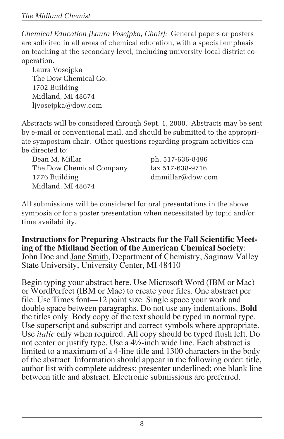*Chemical Education (Laura Vosejpka, Chair):* General papers or posters are solicited in all areas of chemical education, with a special emphasis on teaching at the secondary level, including university-local district cooperation.

Laura Vosejpka The Dow Chemical Co. 1702 Building Midland, MI 48674 ljvosejpka@dow.com

Abstracts will be considered through Sept. 1, 2000. Abstracts may be sent by e-mail or conventional mail, and should be submitted to the appropriate symposium chair. Other questions regarding program activities can be directed to:

Dean M. Millar ph. 517-636-8496 The Dow Chemical Company fax 517-638-9716 1776 Building dmmillar@dow.com Midland, MI 48674

All submissions will be considered for oral presentations in the above symposia or for a poster presentation when necessitated by topic and/or time availability.

**Instructions for Preparing Abstracts for the Fall Scientific Meeting of the Midland Section of the American Chemical Society**: John Doe and <u>Jane Smith</u>, Department of Chemistry, Saginaw Valley State University, University Center, MI 48410

Begin typing your abstract here. Use Microsoft Word (IBM or Mac) or WordPerfect (IBM or Mac) to create your files. One abstract per file. Use Times font—12 point size. Single space your work and double space between paragraphs. Do not use any indentations. **Bold** the titles only. Body copy of the text should be typed in normal type. Use superscript and subscript and correct symbols where appropriate. Use *italic* only when required. All copy should be typed flush left. Do not center or justify type. Use a 4½-inch wide line. Each abstract is limited to a maximum of a 4-line title and 1300 characters in the body of the abstract. Information should appear in the following order: title, author list with complete address; presenter underlined; one blank line between title and abstract. Electronic submissions are preferred.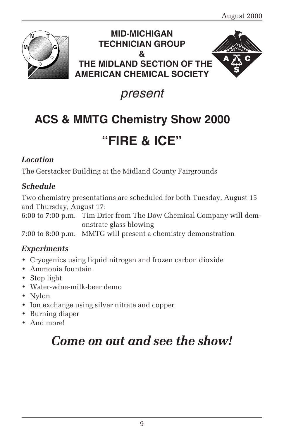

### **MID-MICHIGAN TECHNICIAN GROUP & THE MIDLAND SECTION OF THE AMERICAN CHEMICAL SOCIETY**



## present

## **ACS & MMTG Chemistry Show 2000**

## **"FIRE & ICE"**

### *Location*

The Gerstacker Building at the Midland County Fairgrounds

### *Schedule*

Two chemistry presentations are scheduled for both Tuesday, August 15 and Thursday, August 17:

6:00 to 7:00 p.m. Tim Drier from The Dow Chemical Company will demonstrate glass blowing

7:00 to 8:00 p.m. MMTG will present a chemistry demonstration

### *Experiments*

- Cryogenics using liquid nitrogen and frozen carbon dioxide
- Ammonia fountain
- Stop light
- Water-wine-milk-beer demo
- Nylon
- Ion exchange using silver nitrate and copper
- Burning diaper
- And more!

## *Come on out and see the show!*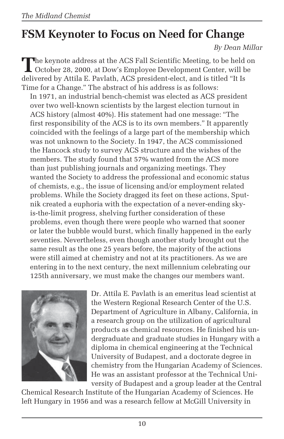## **FSM Keynoter to Focus on Need for Change**

*By Dean Millar*

**T**he keynote address at the ACS Fall Scientific Meeting, to be held on October 28, 2000, at Dow's Employee Development Center, will be delivered by Attila E. Pavlath, ACS president-elect, and is titled "It Is Time for a Change." The abstract of his address is as follows:

In 1971, an industrial bench-chemist was elected as ACS president over two well-known scientists by the largest election turnout in ACS history (almost 40%). His statement had one message: "The first responsibility of the ACS is to its own members." It apparently coincided with the feelings of a large part of the membership which was not unknown to the Society. In 1947, the ACS commissioned the Hancock study to survey ACS structure and the wishes of the members. The study found that 57% wanted from the ACS more than just publishing journals and organizing meetings. They wanted the Society to address the professional and economic status of chemists, e.g., the issue of licensing and/or employment related problems. While the Society dragged its feet on these actions, Sputnik created a euphoria with the expectation of a never-ending skyis-the-limit progress, shelving further consideration of these problems, even though there were people who warned that sooner or later the bubble would burst, which finally happened in the early seventies. Nevertheless, even though another study brought out the same result as the one 25 years before, the majority of the actions were still aimed at chemistry and not at its practitioners. As we are entering in to the next century, the next millennium celebrating our 125th anniversary, we must make the changes our members want.



Dr. Attila E. Pavlath is an emeritus lead scientist at the Western Regional Research Center of the U.S. Department of Agriculture in Albany, California, in a research group on the utilization of agricultural products as chemical resources. He finished his undergraduate and graduate studies in Hungary with a diploma in chemical engineering at the Technical University of Budapest, and a doctorate degree in chemistry from the Hungarian Academy of Sciences. He was an assistant professor at the Technical University of Budapest and a group leader at the Central

Chemical Research Institute of the Hungarian Academy of Sciences. He left Hungary in 1956 and was a research fellow at McGill University in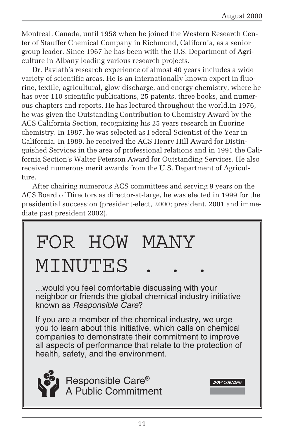Montreal, Canada, until 1958 when he joined the Western Research Center of Stauffer Chemical Company in Richmond, California, as a senior group leader. Since 1967 he has been with the U.S. Department of Agriculture in Albany leading various research projects.

Dr. Pavlath's research experience of almost 40 years includes a wide variety of scientific areas. He is an internationally known expert in fluorine, textile, agricultural, glow discharge, and energy chemistry, where he has over 110 scientific publications, 25 patents, three books, and numerous chapters and reports. He has lectured throughout the world.In 1976, he was given the Outstanding Contribution to Chemistry Award by the ACS California Section, recognizing his 25 years research in fluorine chemistry. In 1987, he was selected as Federal Scientist of the Year in California. In 1989, he received the ACS Henry Hill Award for Distinguished Services in the area of professional relations and in 1991 the California Section's Walter Peterson Award for Outstanding Services. He also received numerous merit awards from the U.S. Department of Agriculture.

After chairing numerous ACS committees and serving 9 years on the ACS Board of Directors as director-at-large, he was elected in 1999 for the presidential succession (president-elect, 2000; president, 2001 and immediate past president 2002).

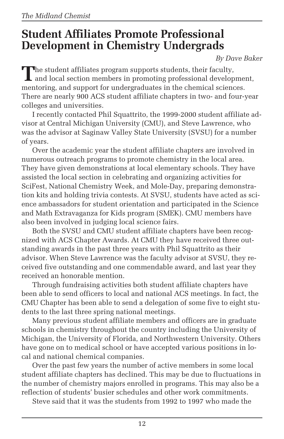### **Student Affiliates Promote Professional Development in Chemistry Undergrads**

*By Dave Baker*

**T**he student affiliates program supports students, their faculty, **L** and local section members in promoting professional development, mentoring, and support for undergraduates in the chemical sciences. There are nearly 900 ACS student affiliate chapters in two- and four-year colleges and universities.

I recently contacted Phil Squattrito, the 1999-2000 student affiliate advisor at Central Michigan University (CMU), and Steve Lawrence, who was the advisor at Saginaw Valley State University (SVSU) for a number of years.

Over the academic year the student affiliate chapters are involved in numerous outreach programs to promote chemistry in the local area. They have given demonstrations at local elementary schools. They have assisted the local section in celebrating and organizing activities for SciFest, National Chemistry Week, and Mole-Day, preparing demonstration kits and holding trivia contests. At SVSU, students have acted as science ambassadors for student orientation and participated in the Science and Math Extravaganza for Kids program (SMEK). CMU members have also been involved in judging local science fairs.

Both the SVSU and CMU student affiliate chapters have been recognized with ACS Chapter Awards. At CMU they have received three outstanding awards in the past three years with Phil Squattrito as their advisor. When Steve Lawrence was the faculty advisor at SVSU, they received five outstanding and one commendable award, and last year they received an honorable mention.

Through fundraising activities both student affiliate chapters have been able to send officers to local and national ACS meetings. In fact, the CMU Chapter has been able to send a delegation of some five to eight students to the last three spring national meetings.

Many previous student affiliate members and officers are in graduate schools in chemistry throughout the country including the University of Michigan, the University of Florida, and Northwestern University. Others have gone on to medical school or have accepted various positions in local and national chemical companies.

Over the past few years the number of active members in some local student affiliate chapters has declined. This may be due to fluctuations in the number of chemistry majors enrolled in programs. This may also be a reflection of students' busier schedules and other work commitments.

Steve said that it was the students from 1992 to 1997 who made the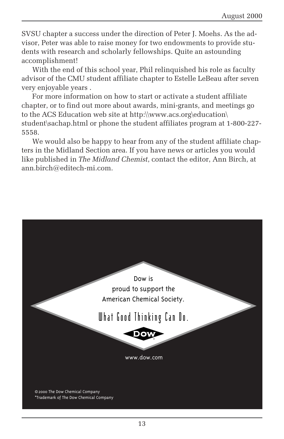SVSU chapter a success under the direction of Peter J. Moehs. As the advisor, Peter was able to raise money for two endowments to provide students with research and scholarly fellowships. Quite an astounding accomplishment!

With the end of this school year, Phil relinquished his role as faculty advisor of the CMU student affiliate chapter to Estelle LeBeau after seven very enjoyable years .

For more information on how to start or activate a student affiliate chapter, or to find out more about awards, mini-grants, and meetings go to the ACS Education web site at http:\\www.acs.org\education\ student\sachap.html or phone the student affiliates program at 1-800-227- 5558.

We would also be happy to hear from any of the student affiliate chapters in the Midland Section area. If you have news or articles you would like published in *The Midland Chemist*, contact the editor, Ann Birch, at ann.birch@editech-mi.com.

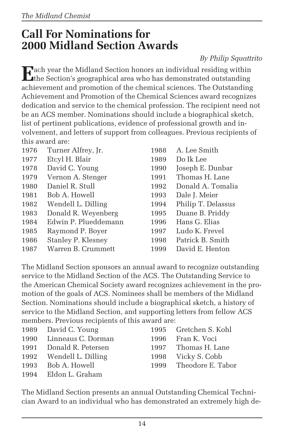### **Call For Nominations for 2000 Midland Section Awards**

#### *By Philip Squattrito*

**E**ach year the Midland Section honors an individual residing within the Section's geographical area who has demonstrated outstanding achievement and promotion of the chemical sciences. The Outstanding Achievement and Promotion of the Chemical Sciences award recognizes dedication and service to the chemical profession. The recipient need not be an ACS member. Nominations should include a biographical sketch, list of pertinent publications, evidence of professional growth and involvement, and letters of support from colleagues. Previous recipients of this award are:

| 1976 | Turner Alfrey, Jr.   | 1988 | A. Lee Smith       |
|------|----------------------|------|--------------------|
| 1977 | Etcyl H. Blair       | 1989 | Do Ik Lee          |
| 1978 | David C. Young       | 1990 | Joseph E. Dunbar   |
| 1979 | Vernon A. Stenger    | 1991 | Thomas H. Lane     |
| 1980 | Daniel R. Stull      | 1992 | Donald A. Tomalia  |
| 1981 | Bob A. Howell        | 1993 | Dale J. Meier      |
| 1982 | Wendell L. Dilling   | 1994 | Philip T. Delassus |
| 1983 | Donald R. Weyenberg  | 1995 | Duane B. Priddy    |
| 1984 | Edwin P. Plueddemann | 1996 | Hans G. Elias      |
| 1985 | Raymond P. Boyer     | 1997 | Ludo K. Frevel     |
| 1986 | Stanley P. Klesney   | 1998 | Patrick B. Smith   |
| 1987 | Warren B. Crummett   | 1999 | David E. Henton    |

The Midland Section sponsors an annual award to recognize outstanding service to the Midland Section of the ACS. The Outstanding Service to the American Chemical Society award recognizes achievement in the promotion of the goals of ACS. Nominees shall be members of the Midland Section. Nominations should include a biographical sketch, a history of service to the Midland Section, and supporting letters from fellow ACS members. Previous recipients of this award are:

| 1989 David C. Young     | 1995 Gretchen S. Kohl  |
|-------------------------|------------------------|
| 1990 Linneaus C. Dorman | 1996 Fran K. Voci      |
| 1991 Donald R. Petersen | 1997 Thomas H. Lane    |
| 1992 Wendell L. Dilling | 1998 Vicky S. Cobb     |
| 1993 Bob A. Howell      | 1999 Theodore E. Tabor |
| 1994 Eldon L. Graham    |                        |

The Midland Section presents an annual Outstanding Chemical Technician Award to an individual who has demonstrated an extremely high de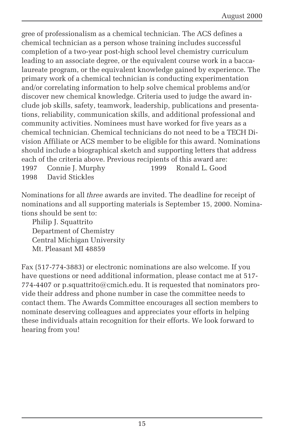gree of professionalism as a chemical technician. The ACS defines a chemical technician as a person whose training includes successful completion of a two-year post-high school level chemistry curriculum leading to an associate degree, or the equivalent course work in a baccalaureate program, or the equivalent knowledge gained by experience. The primary work of a chemical technician is conducting experimentation and/or correlating information to help solve chemical problems and/or discover new chemical knowledge. Criteria used to judge the award include job skills, safety, teamwork, leadership, publications and presentations, reliability, communication skills, and additional professional and community activities. Nominees must have worked for five years as a chemical technician. Chemical technicians do not need to be a TECH Division Affiliate or ACS member to be eligible for this award. Nominations should include a biographical sketch and supporting letters that address each of the criteria above. Previous recipients of this award are: 1997 Connie J. Murphy 1999 Ronald L. Good

1998 David Stickles

Nominations for all *three* awards are invited. The deadline for receipt of nominations and all supporting materials is September 15, 2000. Nominations should be sent to:

Philip J. Squattrito Department of Chemistry Central Michigan University Mt. Pleasant MI 48859

Fax (517-774-3883) or electronic nominations are also welcome. If you have questions or need additional information, please contact me at 517- 774-4407 or p.squattrito@cmich.edu. It is requested that nominators provide their address and phone number in case the committee needs to contact them. The Awards Committee encourages all section members to nominate deserving colleagues and appreciates your efforts in helping these individuals attain recognition for their efforts. We look forward to hearing from you!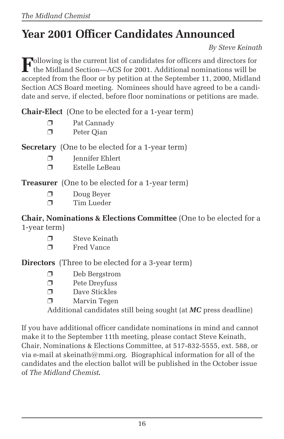## **Year 2001 Officer Candidates Announced**

*By Steve Keinath*

**F**ollowing is the current list of candidates for officers and directors for the Midland Section—ACS for 2001. Additional nominations will be accepted from the floor or by petition at the September 11, 2000, Midland Section ACS Board meeting. Nominees should have agreed to be a candidate and serve, if elected, before floor nominations or petitions are made.

**Chair-Elect** (One to be elected for a 1-year term)

- ❐ Pat Cannady
- ❐ Peter Qian

**Secretary** (One to be elected for a 1-year term)

- ❐ Jennifer Ehlert
- ❐ Estelle LeBeau

**Treasurer** (One to be elected for a 1-year term)

- ❐ Doug Beyer
- ❐ Tim Lueder

**Chair, Nominations & Elections Committee** (One to be elected for a 1-year term)

- ❐ Steve Keinath
- ❐ Fred Vance

**Directors** (Three to be elected for a 3-year term)

- ❐ Deb Bergstrom
- ❐ Pete Dreyfuss
- ❐ Dave Stickles
- ❐ Marvin Tegen

Additional candidates still being sought (at *MC* press deadline)

If you have additional officer candidate nominations in mind and cannot make it to the September 11th meeting, please contact Steve Keinath, Chair, Nominations & Elections Committee, at 517-832-5555, ext. 588, or via e-mail at skeinath@mmi.org. Biographical information for all of the candidates and the election ballot will be published in the October issue of *The Midland Chemist.*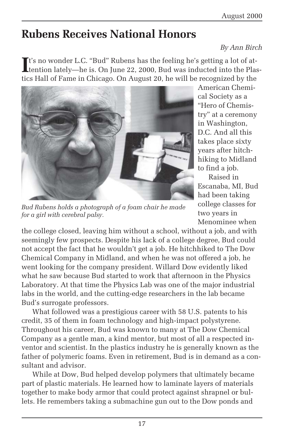## **Rubens Receives National Honors**

#### *By Ann Birch*

It's no wonder L.C. "Bud" Rubens has the feeling he's getting a lot of attention lately—he is. On June 22, 2000, Bud was inducted into the Pla tention lately—he is. On June 22, 2000, Bud was inducted into the Plastics Hall of Fame in Chicago. On August 20, he will be recognized by the



American Chemical Society as a "Hero of Chemistry" at a ceremony in Washington, D.C. And all this takes place sixty years after hitchhiking to Midland to find a job.

Raised in Escanaba, MI, Bud had been taking college classes for two years in Menominee when

*Bud Rubens holds a photograph of a foam chair he made for a girl with cerebral palsy.*

the college closed, leaving him without a school, without a job, and with seemingly few prospects. Despite his lack of a college degree, Bud could not accept the fact that he wouldn't get a job. He hitchhiked to The Dow Chemical Company in Midland, and when he was not offered a job, he went looking for the company president. Willard Dow evidently liked what he saw because Bud started to work that afternoon in the Physics Laboratory. At that time the Physics Lab was one of the major industrial labs in the world, and the cutting-edge researchers in the lab became Bud's surrogate professors.

What followed was a prestigious career with 58 U.S. patents to his credit, 35 of them in foam technology and high-impact polystyrene. Throughout his career, Bud was known to many at The Dow Chemical Company as a gentle man, a kind mentor, but most of all a respected inventor and scientist. In the plastics industry he is generally known as the father of polymeric foams. Even in retirement, Bud is in demand as a consultant and advisor.

While at Dow, Bud helped develop polymers that ultimately became part of plastic materials. He learned how to laminate layers of materials together to make body armor that could protect against shrapnel or bullets. He remembers taking a submachine gun out to the Dow ponds and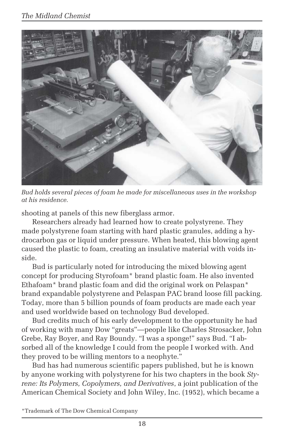

*Bud holds several pieces of foam he made for miscellaneous uses in the workshop at his residence.*

shooting at panels of this new fiberglass armor.

Researchers already had learned how to create polystyrene. They made polystyrene foam starting with hard plastic granules, adding a hydrocarbon gas or liquid under pressure. When heated, this blowing agent caused the plastic to foam, creating an insulative material with voids inside.

Bud is particularly noted for introducing the mixed blowing agent concept for producing Styrofoam\* brand plastic foam. He also invented Ethafoam\* brand plastic foam and did the original work on Pelaspan\* brand expandable polystyrene and Pelaspan PAC brand loose fill packing. Today, more than 5 billion pounds of foam products are made each year and used worldwide based on technology Bud developed.

Bud credits much of his early development to the opportunity he had of working with many Dow "greats"—people like Charles Strosacker, John Grebe, Ray Boyer, and Ray Boundy. "I was a sponge!" says Bud. "I absorbed all of the knowledge I could from the people I worked with. And they proved to be willing mentors to a neophyte."

Bud has had numerous scientific papers published, but he is known by anyone working with polystyrene for his two chapters in the book *Styrene: Its Polymers, Copolymers, and Derivatives*, a joint publication of the American Chemical Society and John Wiley, Inc. (1952), which became a

<sup>\*</sup>Trademark of The Dow Chemical Company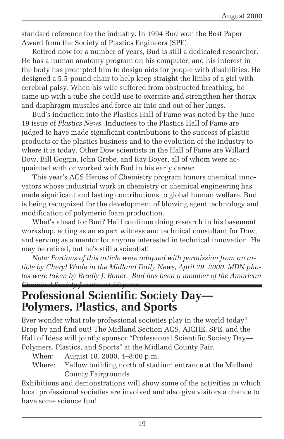standard reference for the industry. In 1994 Bud won the Best Paper Award from the Society of Plastics Engineers (SPE).

Retired now for a number of years, Bud is still a dedicated researcher. He has a human anatomy program on his computer, and his interest in the body has prompted him to design aids for people with disabilities. He designed a 5.5-pound chair to help keep straight the limbs of a girl with cerebral palsy. When his wife suffered from obstructed breathing, he came up with a tube she could use to exercise and strengthen her thorax and diaphragm muscles and force air into and out of her lungs.

Bud's induction into the Plastics Hall of Fame was noted by the June 19 issue of *Plastics News.* Inductees to the Plastics Hall of Fame are judged to have made significant contributions to the success of plastic products or the plastics business and to the evolution of the industry to where it is today. Other Dow scientists in the Hall of Fame are Willard Dow, Bill Goggin, John Grebe, and Ray Boyer, all of whom were acquainted with or worked with Bud in his early career.

This year's ACS Heroes of Chemistry program honors chemical innovators whose industrial work in chemistry or chemical engineering has made significant and lasting contributions to global human welfare. Bud is being recognized for the development of blowing agent technology and modification of polymeric foam production.

What's ahead for Bud? He'll continue doing research in his basement workshop, acting as an expert witness and technical consultant for Dow, and serving as a mentor for anyone interested in technical innovation. He may be retired, but he's still a scientist!

*Note: Portions of this article were adapted with permission from an article by Cheryl Wade in the Midland Daily News, April 29, 2000. MDN photos were taken by Bradly J. Boner. Bud has been a member of the American Chemical Society for almost 50 years.*

### **Professional Scientific Society Day— Polymers, Plastics, and Sports**

Ever wonder what role professional societies play in the world today? Drop by and find out! The Midland Section ACS, AICHE, SPE, and the Hall of Ideas will jointly sponsor "Professional Scientific Society Day— Polymers, Plastics, and Sports" at the Midland County Fair.

- When: August 18, 2000, 4–8:00 p.m.
- Where: Yellow building north of stadium entrance at the Midland County Fairgrounds

Exhibitions and demonstrations will show some of the activities in which local professional societies are involved and also give visitors a chance to have some science fun!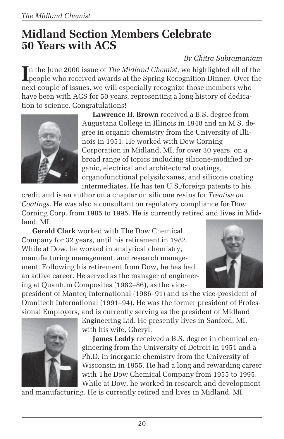### **Midland Section Members Celebrate 50 Years with ACS**

### *By Chitra Subramaniam*

In the June 2000 issue of *The Midland Chemist*, we highlighted all of the people who received awards at the Spring Recognition Dinner. Over the n the June 2000 issue of *The Midland Chemist*, we highlighted all of the next couple of issues, we will especially recognize those members who have been with ACS for 50 years, representing a long history of dedication to science. Congratulations!



**Lawrence H. Brown** received a B.S. degree from Augustana College in Illinois in 1948 and an M.S. degree in organic chemistry from the University of Illinois in 1951. He worked with Dow Corning Corporation in Midland, MI, for over 30 years, on a broad range of topics including silicone-modified organic, electrical and architectural coatings, organofunctional polysiloxanes, and silicone coating intermediates. He has ten U.S./foreign patents to his

credit and is an author on a chapter on silicone resins for *Treatise on Coatings*. He was also a consultant on regulatory compliance for Dow Corning Corp. from 1985 to 1995. He is currently retired and lives in Midland, MI.

**Gerald Clark** worked with The Dow Chemical Company for 32 years, until his retirement in 1982. While at Dow, he worked in analytical chemistry, manufacturing management, and research management. Following his retirement from Dow, he has had an active career. He served as the manager of engineering at Quantum Composites (1982–86), as the vice-



president of Manteq International (1986–91) and as the vice-president of Omnitech International (1991–94). He was the former president of Professional Employers, and is currently serving as the president of Midland



Engineering Ltd. He presently lives in Sanford, MI, with his wife, Cheryl.

**James Leddy** received a B.S. degree in chemical engineering from the University of Detroit in 1951 and a Ph.D. in inorganic chemistry from the University of Wisconsin in 1955. He had a long and rewarding career with The Dow Chemical Company from 1955 to 1995. While at Dow, he worked in research and development

and manufacturing. He is currently retired and lives in Midland, MI.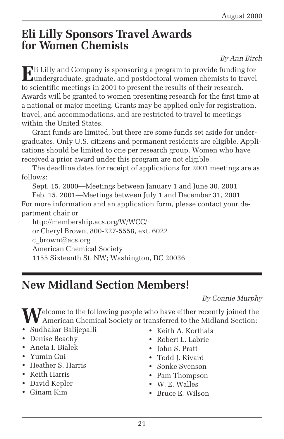### **Eli Lilly Sponsors Travel Awards for Women Chemists**

*By Ann Birch*

**E**li Lilly and Company is sponsoring a program to provide funding for **L**undergraduate, graduate, and postdoctoral women chemists to travel to scientific meetings in 2001 to present the results of their research. Awards will be granted to women presenting research for the first time at a national or major meeting. Grants may be applied only for registration, travel, and accommodations, and are restricted to travel to meetings within the United States.

Grant funds are limited, but there are some funds set aside for undergraduates. Only U.S. citizens and permanent residents are eligible. Applications should be limited to one per research group. Women who have received a prior award under this program are not eligible.

The deadline dates for receipt of applications for 2001 meetings are as follows:

Sept. 15, 2000—Meetings between January 1 and June 30, 2001

Feb. 15, 2001—Meetings between July 1 and December 31, 2001 For more information and an application form, please contact your department chair or

http://membership.acs.org/W/WCC/ or Cheryl Brown, 800-227-5558, ext. 6022 c  $brown@acs.org$ American Chemical Society 1155 Sixteenth St. NW; Washington, DC 20036

## **New Midland Section Members!**

*By Connie Murphy*

Welcome to the following people who have either recently joined the American Chemical Society or transferred to the Midland Section:

- Sudhakar Balijepalli
- Denise Beachy
- Aneta I. Bialek
- Yumin Cui
- Heather S. Harris
- Keith Harris
- David Kepler
- Ginam Kim
- Keith A. Korthals
- Robert L. Labrie
- John S. Pratt
- Todd J. Rivard
- Sonke Svenson
- Pam Thompson
- W. E. Walles
- Bruce E. Wilson